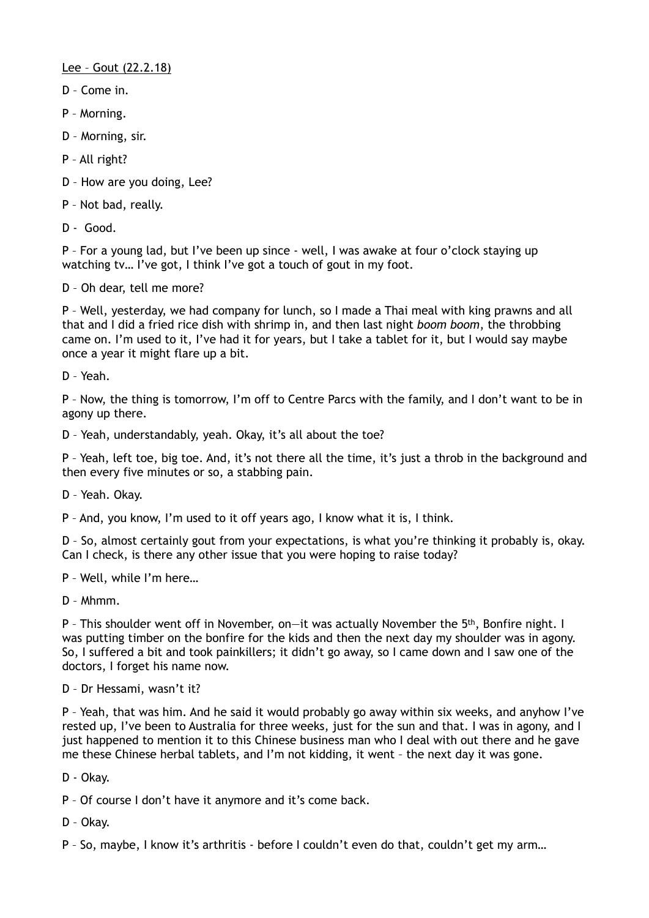Lee – Gout (22.2.18)

- D Come in.
- P Morning.
- D Morning, sir.
- P All right?
- D How are you doing, Lee?
- P Not bad, really.
- D Good.

P – For a young lad, but I've been up since - well, I was awake at four o'clock staying up watching tv… I've got, I think I've got a touch of gout in my foot.

D – Oh dear, tell me more?

P – Well, yesterday, we had company for lunch, so I made a Thai meal with king prawns and all that and I did a fried rice dish with shrimp in, and then last night *boom boom*, the throbbing came on. I'm used to it, I've had it for years, but I take a tablet for it, but I would say maybe once a year it might flare up a bit.

D – Yeah.

P – Now, the thing is tomorrow, I'm off to Centre Parcs with the family, and I don't want to be in agony up there.

D – Yeah, understandably, yeah. Okay, it's all about the toe?

P – Yeah, left toe, big toe. And, it's not there all the time, it's just a throb in the background and then every five minutes or so, a stabbing pain.

D – Yeah. Okay.

P – And, you know, I'm used to it off years ago, I know what it is, I think.

D – So, almost certainly gout from your expectations, is what you're thinking it probably is, okay. Can I check, is there any other issue that you were hoping to raise today?

P – Well, while I'm here…

D – Mhmm.

P – This shoulder went off in November, on—it was actually November the 5th, Bonfire night. I was putting timber on the bonfire for the kids and then the next day my shoulder was in agony. So, I suffered a bit and took painkillers; it didn't go away, so I came down and I saw one of the doctors, I forget his name now.

D – Dr Hessami, wasn't it?

P – Yeah, that was him. And he said it would probably go away within six weeks, and anyhow I've rested up, I've been to Australia for three weeks, just for the sun and that. I was in agony, and I just happened to mention it to this Chinese business man who I deal with out there and he gave me these Chinese herbal tablets, and I'm not kidding, it went – the next day it was gone.

D - Okay.

P – Of course I don't have it anymore and it's come back.

D – Okay.

P – So, maybe, I know it's arthritis - before I couldn't even do that, couldn't get my arm…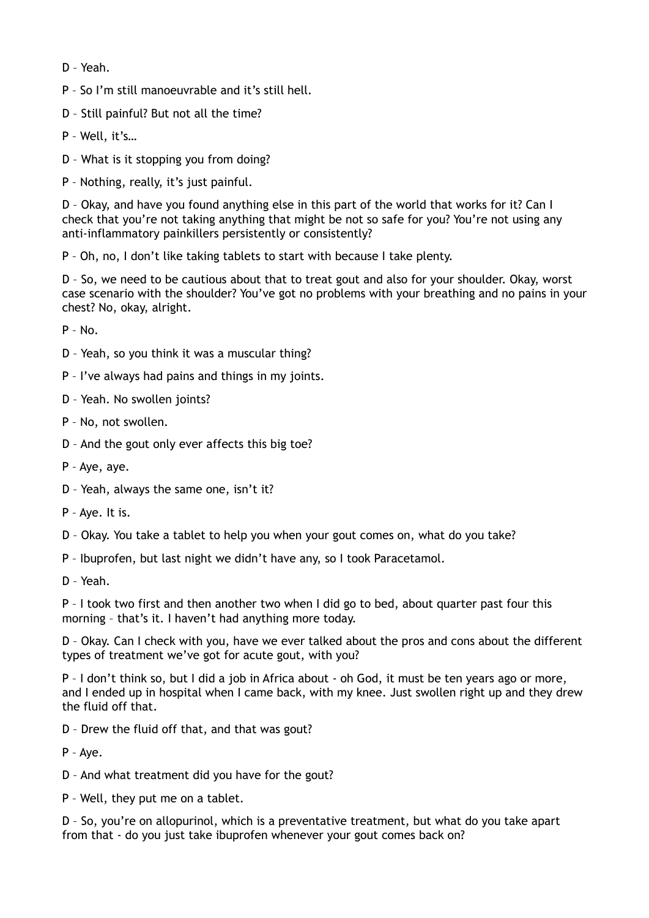D – Yeah.

P – So I'm still manoeuvrable and it's still hell.

D – Still painful? But not all the time?

P – Well, it's…

D – What is it stopping you from doing?

P – Nothing, really, it's just painful.

D – Okay, and have you found anything else in this part of the world that works for it? Can I check that you're not taking anything that might be not so safe for you? You're not using any anti-inflammatory painkillers persistently or consistently?

P – Oh, no, I don't like taking tablets to start with because I take plenty.

D – So, we need to be cautious about that to treat gout and also for your shoulder. Okay, worst case scenario with the shoulder? You've got no problems with your breathing and no pains in your chest? No, okay, alright.

 $P - N_0$ 

- D Yeah, so you think it was a muscular thing?
- P I've always had pains and things in my joints.
- D Yeah. No swollen joints?

P – No, not swollen.

- D And the gout only ever affects this big toe?
- P Aye, aye.
- D Yeah, always the same one, isn't it?
- P Aye. It is.
- D Okay. You take a tablet to help you when your gout comes on, what do you take?

P – Ibuprofen, but last night we didn't have any, so I took Paracetamol.

D – Yeah.

P – I took two first and then another two when I did go to bed, about quarter past four this morning – that's it. I haven't had anything more today.

D – Okay. Can I check with you, have we ever talked about the pros and cons about the different types of treatment we've got for acute gout, with you?

P – I don't think so, but I did a job in Africa about - oh God, it must be ten years ago or more, and I ended up in hospital when I came back, with my knee. Just swollen right up and they drew the fluid off that.

D – Drew the fluid off that, and that was gout?

P – Aye.

D – And what treatment did you have for the gout?

P – Well, they put me on a tablet.

D – So, you're on allopurinol, which is a preventative treatment, but what do you take apart from that - do you just take ibuprofen whenever your gout comes back on?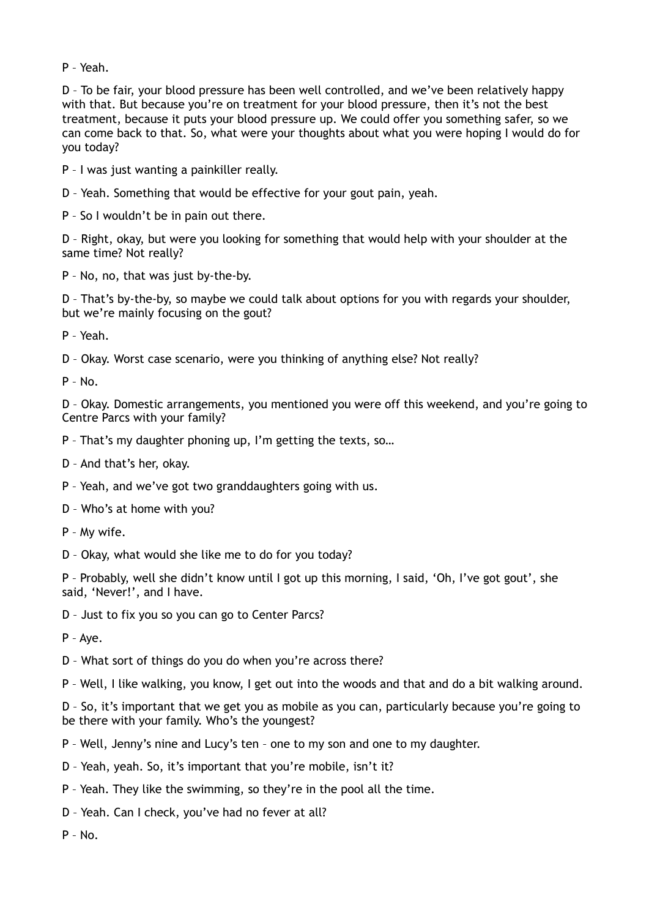P – Yeah.

D – To be fair, your blood pressure has been well controlled, and we've been relatively happy with that. But because you're on treatment for your blood pressure, then it's not the best treatment, because it puts your blood pressure up. We could offer you something safer, so we can come back to that. So, what were your thoughts about what you were hoping I would do for you today?

P – I was just wanting a painkiller really.

D – Yeah. Something that would be effective for your gout pain, yeah.

P – So I wouldn't be in pain out there.

D – Right, okay, but were you looking for something that would help with your shoulder at the same time? Not really?

P – No, no, that was just by-the-by.

D – That's by-the-by, so maybe we could talk about options for you with regards your shoulder, but we're mainly focusing on the gout?

P – Yeah.

D – Okay. Worst case scenario, were you thinking of anything else? Not really?

 $P - No$ .

D – Okay. Domestic arrangements, you mentioned you were off this weekend, and you're going to Centre Parcs with your family?

P – That's my daughter phoning up, I'm getting the texts, so…

D – And that's her, okay.

P – Yeah, and we've got two granddaughters going with us.

D – Who's at home with you?

P – My wife.

D – Okay, what would she like me to do for you today?

P – Probably, well she didn't know until I got up this morning, I said, 'Oh, I've got gout', she said, 'Never!', and I have.

D – Just to fix you so you can go to Center Parcs?

P – Aye.

D – What sort of things do you do when you're across there?

P – Well, I like walking, you know, I get out into the woods and that and do a bit walking around.

D – So, it's important that we get you as mobile as you can, particularly because you're going to be there with your family. Who's the youngest?

P – Well, Jenny's nine and Lucy's ten – one to my son and one to my daughter.

D – Yeah, yeah. So, it's important that you're mobile, isn't it?

P – Yeah. They like the swimming, so they're in the pool all the time.

D – Yeah. Can I check, you've had no fever at all?

 $P - No$ .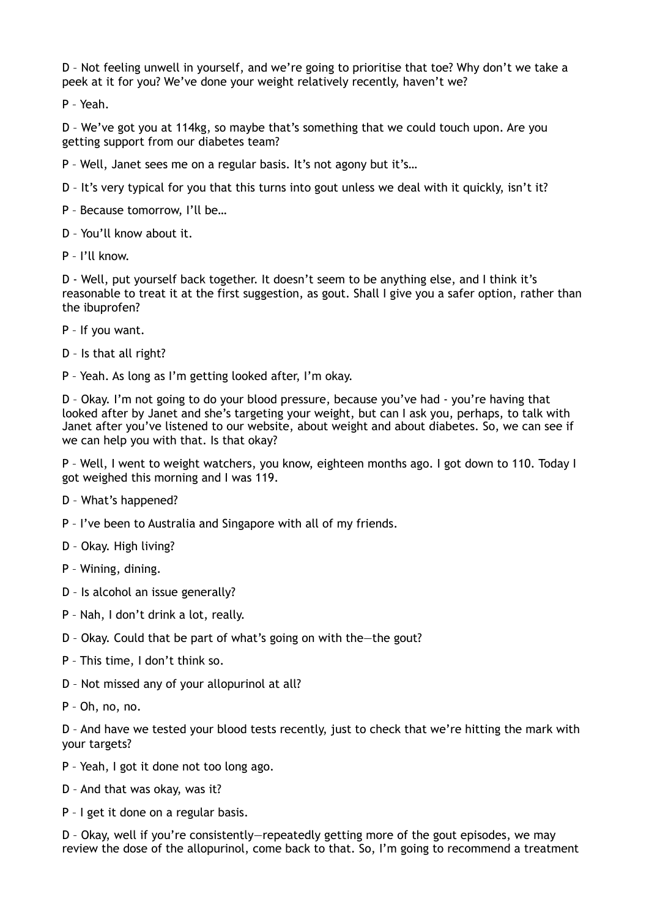D – Not feeling unwell in yourself, and we're going to prioritise that toe? Why don't we take a peek at it for you? We've done your weight relatively recently, haven't we?

P – Yeah.

D – We've got you at 114kg, so maybe that's something that we could touch upon. Are you getting support from our diabetes team?

P – Well, Janet sees me on a regular basis. It's not agony but it's…

D – It's very typical for you that this turns into gout unless we deal with it quickly, isn't it?

P – Because tomorrow, I'll be…

D – You'll know about it.

P – I'll know.

D - Well, put yourself back together. It doesn't seem to be anything else, and I think it's reasonable to treat it at the first suggestion, as gout. Shall I give you a safer option, rather than the ibuprofen?

- P If you want.
- D Is that all right?
- P Yeah. As long as I'm getting looked after, I'm okay.

D – Okay. I'm not going to do your blood pressure, because you've had - you're having that looked after by Janet and she's targeting your weight, but can I ask you, perhaps, to talk with Janet after you've listened to our website, about weight and about diabetes. So, we can see if we can help you with that. Is that okay?

P – Well, I went to weight watchers, you know, eighteen months ago. I got down to 110. Today I got weighed this morning and I was 119.

- D What's happened?
- P I've been to Australia and Singapore with all of my friends.
- D Okay. High living?
- P Wining, dining.
- D Is alcohol an issue generally?
- P Nah, I don't drink a lot, really.
- D Okay. Could that be part of what's going on with the—the gout?
- P This time, I don't think so.
- D Not missed any of your allopurinol at all?
- P Oh, no, no.

D – And have we tested your blood tests recently, just to check that we're hitting the mark with your targets?

- P Yeah, I got it done not too long ago.
- D And that was okay, was it?
- P I get it done on a regular basis.

D – Okay, well if you're consistently—repeatedly getting more of the gout episodes, we may review the dose of the allopurinol, come back to that. So, I'm going to recommend a treatment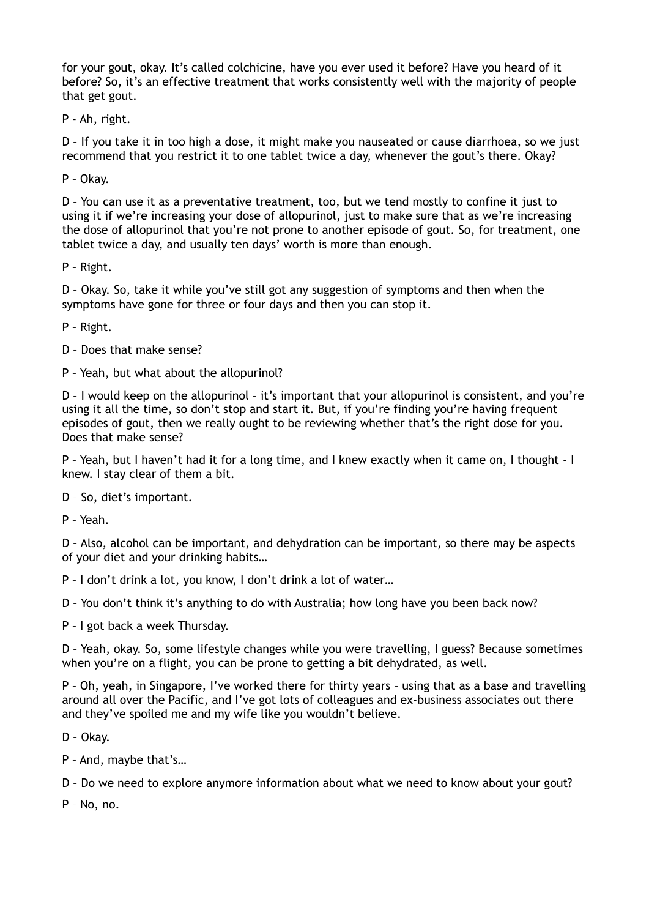for your gout, okay. It's called colchicine, have you ever used it before? Have you heard of it before? So, it's an effective treatment that works consistently well with the majority of people that get gout.

P - Ah, right.

D – If you take it in too high a dose, it might make you nauseated or cause diarrhoea, so we just recommend that you restrict it to one tablet twice a day, whenever the gout's there. Okay?

P – Okay.

D – You can use it as a preventative treatment, too, but we tend mostly to confine it just to using it if we're increasing your dose of allopurinol, just to make sure that as we're increasing the dose of allopurinol that you're not prone to another episode of gout. So, for treatment, one tablet twice a day, and usually ten days' worth is more than enough.

P – Right.

D – Okay. So, take it while you've still got any suggestion of symptoms and then when the symptoms have gone for three or four days and then you can stop it.

P – Right.

- D Does that make sense?
- P Yeah, but what about the allopurinol?

D – I would keep on the allopurinol – it's important that your allopurinol is consistent, and you're using it all the time, so don't stop and start it. But, if you're finding you're having frequent episodes of gout, then we really ought to be reviewing whether that's the right dose for you. Does that make sense?

P – Yeah, but I haven't had it for a long time, and I knew exactly when it came on, I thought - I knew. I stay clear of them a bit.

D – So, diet's important.

P – Yeah.

D – Also, alcohol can be important, and dehydration can be important, so there may be aspects of your diet and your drinking habits…

P – I don't drink a lot, you know, I don't drink a lot of water…

D – You don't think it's anything to do with Australia; how long have you been back now?

P – I got back a week Thursday.

D – Yeah, okay. So, some lifestyle changes while you were travelling, I guess? Because sometimes when you're on a flight, you can be prone to getting a bit dehydrated, as well.

P – Oh, yeah, in Singapore, I've worked there for thirty years – using that as a base and travelling around all over the Pacific, and I've got lots of colleagues and ex-business associates out there and they've spoiled me and my wife like you wouldn't believe.

D – Okay.

P – And, maybe that's…

D – Do we need to explore anymore information about what we need to know about your gout?

P – No, no.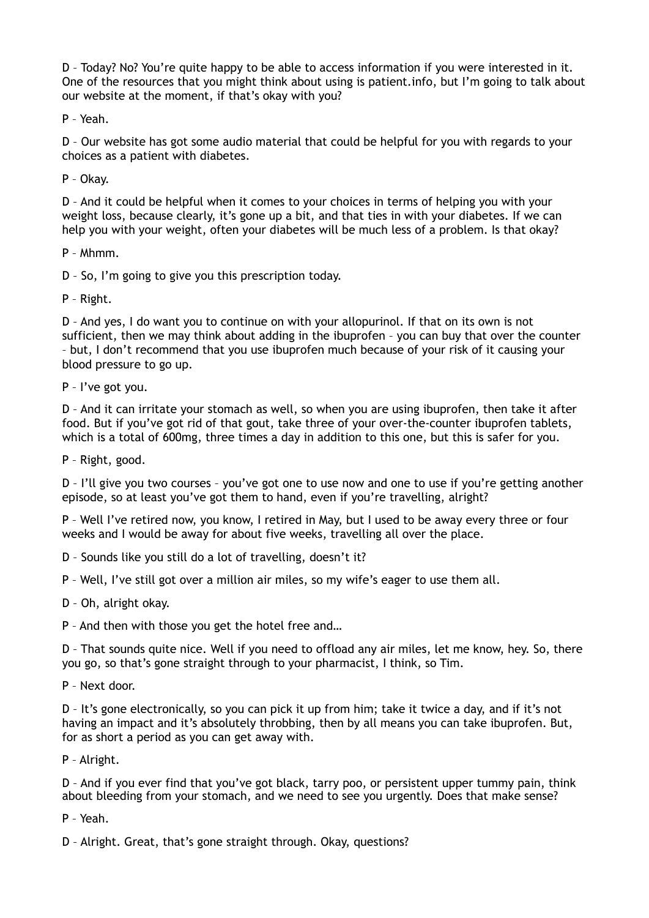D – Today? No? You're quite happy to be able to access information if you were interested in it. One of the resources that you might think about using is patient.info, but I'm going to talk about our website at the moment, if that's okay with you?

P – Yeah.

D – Our website has got some audio material that could be helpful for you with regards to your choices as a patient with diabetes.

P – Okay.

D – And it could be helpful when it comes to your choices in terms of helping you with your weight loss, because clearly, it's gone up a bit, and that ties in with your diabetes. If we can help you with your weight, often your diabetes will be much less of a problem. Is that okay?

P – Mhmm.

D – So, I'm going to give you this prescription today.

P – Right.

D – And yes, I do want you to continue on with your allopurinol. If that on its own is not sufficient, then we may think about adding in the ibuprofen – you can buy that over the counter – but, I don't recommend that you use ibuprofen much because of your risk of it causing your blood pressure to go up.

P – I've got you.

D – And it can irritate your stomach as well, so when you are using ibuprofen, then take it after food. But if you've got rid of that gout, take three of your over-the-counter ibuprofen tablets, which is a total of 600mg, three times a day in addition to this one, but this is safer for you.

P – Right, good.

D – I'll give you two courses – you've got one to use now and one to use if you're getting another episode, so at least you've got them to hand, even if you're travelling, alright?

P – Well I've retired now, you know, I retired in May, but I used to be away every three or four weeks and I would be away for about five weeks, travelling all over the place.

D – Sounds like you still do a lot of travelling, doesn't it?

P – Well, I've still got over a million air miles, so my wife's eager to use them all.

D – Oh, alright okay.

P – And then with those you get the hotel free and…

D – That sounds quite nice. Well if you need to offload any air miles, let me know, hey. So, there you go, so that's gone straight through to your pharmacist, I think, so Tim.

P – Next door.

D – It's gone electronically, so you can pick it up from him; take it twice a day, and if it's not having an impact and it's absolutely throbbing, then by all means you can take ibuprofen. But, for as short a period as you can get away with.

P – Alright.

D – And if you ever find that you've got black, tarry poo, or persistent upper tummy pain, think about bleeding from your stomach, and we need to see you urgently. Does that make sense?

P – Yeah.

D – Alright. Great, that's gone straight through. Okay, questions?